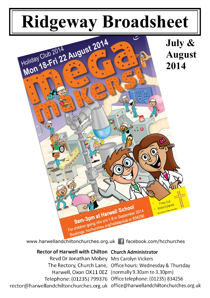# **Ridgeway Broadsheet**



www.harwellandchiltonchurches.org.uk facebook.com/hcchurches

# **Rector of Harwell with Chilton Church Administrator**

Revd Dr Jonathan Mobey Mrs Carolyn Vickers The Rectory, Church Lane, Office hours: Wednesday & Thursday Harwell, Oxon OX11 0EZ (normally 9.30am to 3.30pm) Telephone: (01235) 799376 Office telephone: (01235) 834256 rector@harwellandchiltonchurches.org.uk office@harwellandchiltonchurches.org.uk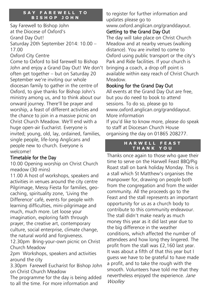#### **SAY FAREWELL TO BISHOP JOHN**

Say Farewell to Bishop John at the Diocese of Oxford's Grand Day Out! Saturday 20th September 2014: 10.00 – 17.00

Oxford City Centre

Come to Oxford to bid farewell to Bishop John and enjoy a Grand Day Out! We don't often get together – but on Saturday 20 September we're inviting our whole diocesan family to gather in the centre of Oxford, to give thanks for Bishop John's ministry among us, and to think about our onward journey. There'll be prayer and worship, a feast of different activities and the chance to join in a massive picnic on Christ Church Meadow. We'll end with a huge open-air Eucharist. Everyone is invited; young, old, lay, ordained, families, single people, life-long Anglicans and people new to church. Everyone is welcome!

## Timetable for the Day

10.00 Opening worship on Christ Church meadow (30 mins)

11.00 A host of workshops, speakers and activities in venues around the city centre Pilgrimage, Messy Fiesta for families, geocaching, spirituality zone, 'Living the Difference' café, events for people with learning difficulties, mini-pilgrimage and much, much more. Let loose your imagination, exploring faith through prayer, the creative art, contemporary culture, social enterprise, climate change, the natural world and forgiveness.

12.30pm Bring-your-own picnic on Christ Church Meadow

2pm Workshops, speakers and activities around the city

3.30pm Farewell Eucharist for Bishop John on Christ Church Meadow

The programme for the day is being added to all the time. For more information and

to register for further information and updates please go to www.oxford.anglican.org/granddayout.

# Getting to the Grand Day Out

The day will take place on Christ Church Meadow and at nearby venues (walking distance). You are invited to come to Oxford using public transport or the city's Park and Ride facilities. If your church is bringing a coach, a drop off point is available within easy reach of Christ Church Meadow.

# Booking for the Grand Day Out

All events at the Grand Day Out are free, but you do need to book to attend sessions. To do so, please go to www.oxford.anglican.org/granddayout. More information

If you'd like to know more, please do speak to staff at Diocesan Church House organising the day on 01865 208277.

#### **H A R W E L L F E A S T T H A N K Y O U**

Thanks once again to those who gave their time to serve on the Harwell Feast BBQ/Pig Roast stall on bank holiday Monday. This is a stall which St Matthew's organises the manpower for, drawing on people both from the congregation and from the wider community. All the proceeds go to the Feast and the stall represents an important opportunity for us as a church body to contribute to this community endeavour. The stall didn't make nearly as much money this year as it did last year due to the big difference in the weather conditions, which affected the number of attendees and how long they lingered. The profit from the stall was £2,160 last year. It was about a fifth of that this year but I guess we have to be grateful to have made a profit, and to take the rough with the smooth. Volunteers have told me that they nevertheless enjoyed the experience. Jane **Woolley**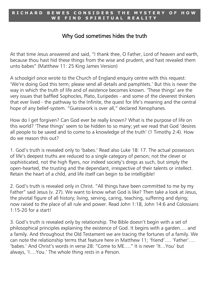#### **R I C H A R D B E W E S C O N S I D E R S T H E M Y S T E R Y O F H O W**  WE FIND SPIRITUAL REALIT

# Why God sometimes hides the truth

At that time Jesus answered and said, "I thank thee, O Father, Lord of heaven and earth, because thou hast hid these things from the wise and prudent, and hast revealed them unto babes" (Matthew 11: 25 King James Version)

A schoolgirl once wrote to the Church of England enquiry centre with this request: 'We're doing God this term; please send all details and pamphlets.' But this is never the way in which the truth of life and of existence becomes known. 'These things' are the very issues that baffled Sophocles, Plato, Euripedes - and some of the cleverest thinkers that ever lived - the pathway to the Infinite, the quest for life's meaning and the central hope of any belief-system. "Guesswork is over all," declared Xenophanes.

How do I get forgiven? Can God ever be really known? What is the purpose of life on this world? 'These things' seem to be hidden to so many; yet we read that God 'desires all people to be saved and to come to a knowledge of the truth' (1 Timothy 2:4). How do we reason this out?

1. God's truth is revealed only to 'babes.' Read also Luke 18: 17. The actual possessors of life's deepest truths are reduced to a single category of person; not the clever or sophisticated, not the high flyers, nor indeed society's dregs as such, but simply the open-hearted, the trusting and the dependant, irrespective of their talents or intellect. Retain the heart of a child, and life itself can begin to be intelligible!

2. God's truth is revealed only in Christ. "All things have been committed to me by my Father" said Jesus (v. 27). We want to know what God is like? Then take a look at Jesus, the pivotal figure of all history; living, serving, caring, teaching, suffering and dying; now raised to the place of all rule and power. Read John 1:18, John 14:6 and Colossians 1:15-20 for a start!

3. God's truth is revealed only by relationship. The Bible doesn't begin with a set of philosophical principles explaining the existence of God. It begins with a garden…. and a family. And throughout the Old Testament we are tracing the fortunes of a family. We can note the relationship terms that feature here in Matthew 11; 'friend'…. 'Father'…. 'babes.' And Christ's words in verse 28: "Come to ME…." It is never 'It…You' but always, 'I….You.' The whole thing rests in a Person.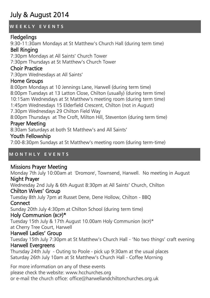# July & August 2014

#### **W E E K L Y E V E N T S**

## **Fledgelings**

9:30-11:30am Mondays at St Matthew's Church Hall (during term time)

# Bell Ringing

7:30pm Mondays at All Saints' Church Tower 7:30pm Thursdays at St Matthew's Church Tower

#### Choir Practice

7:30pm Wednesdays at All Saints'

#### Home Groups

8:00pm Mondays at 10 Jennings Lane, Harwell (during term time) 8:00pm Tuesdays at 13 Latton Close, Chilton (usually) (during term time) 10:15am Wednesdays at St Matthew's meeting room (during term time) 1:45pm Wednesdays 15 Elderfield Crescent, Chilton (not in August) 7.30pm Wednesdays 29 Chilton Field Way 8:00pm Thursdays at The Croft, Milton Hill, Steventon (during term time)

# Prayer Meeting

8:30am Saturdays at both St Matthew's and All Saints'

#### Youth Fellowship

7:00-8:30pm Sundays at St Matthew's meeting room (during term-time)

## **M O N T H L Y E V E N T S**

## Missions Prayer Meeting

Monday 7th July 10:00am at 'Dromore', Townsend, Harwell. No meeting in August Night Prayer

Wednesday 2nd July & 6th August 8:30pm at All Saints' Church, Chilton

#### Chilton Wives' Group

Tuesday 8th July 7pm at Russet Dene, Dene Hollow, Chilton - BBQ

#### **Connect**

Sunday 20th July 4:30pm at Chilton School (during term time)

#### Holy Communion (BCP)\*

Tuesday 15th July & 17th August 10.00am Holy Communion (BCP)\* at Cherry Tree Court, Harwell

# Harwell Ladies' Group

Tuesday 15th July 7:30pm at St Matthew's Church Hall - 'No two things' craft evening

# Harwell Evergreens

Thursday 24th July - Outing to Poole - pick up 9:30am at the usual places Saturday 26th July 10am at St Matthew's Church Hall - Coffee Morning

For more information on any of these events please check the website: www.hcchurches.org or e-mail the church office: office@harwellandchiltonchurches.org.uk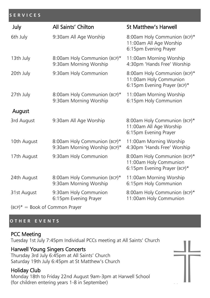#### **S E R V I C E S**

| July        | All Saints' Chilton                                           | <b>St Matthew's Harwell</b>                                                            |
|-------------|---------------------------------------------------------------|----------------------------------------------------------------------------------------|
| 6th July    | 9:30am All Age Worship                                        | 8:00am Holy Communion (BCP)*<br>11:00am All Age Worship<br>6:15pm Evening Prayer       |
| 13th July   | 8:00am Holy Communion (BCP)*<br>9:30am Morning Worship        | 11:00am Morning Worship<br>4:30pm 'Hands Free' Worship                                 |
| 20th July   | 9:30am Holy Communion                                         | 8:00am Holy Communion (BCP)*<br>11:00am Holy Communion<br>6:15pm Evening Prayer (BCP)* |
| 27th July   | 8:00am Holy Communion (BCP)*<br>9:30am Morning Worship        | 11:00am Morning Worship<br>6:15pm Holy Communion                                       |
| August      |                                                               |                                                                                        |
| 3rd August  | 9:30am All Age Worship                                        | 8:00am Holy Communion (BCP)*<br>11:00am All Age Worship<br>6:15pm Evening Prayer       |
| 10th August | 8:00am Holy Communion (BCP)*<br>9:30am Morning Worship (BCP)* | 11:00am Morning Worship<br>4:30pm 'Hands Free' Worship                                 |
| 17th August | 9:30am Holy Communion                                         | 8:00am Holy Communion (BCP)*<br>11:00am Holy Communion<br>6:15pm Evening Prayer (BCP)* |
| 24th August | 8:00am Holy Communion (BCP)*<br>9:30am Morning Worship        | 11:00am Morning Worship<br>6:15pm Holy Communion                                       |
| 31st August | 9:30am Holy Communion<br>6:15pm Evening Prayer                | 8:00am Holy Communion (BCP)*<br>11:00am Holy Communion                                 |

 $(BCP)^* = Book of Common Prayer$ 

#### **O T H E R E V E N T S**

#### PCC Meeting

Tuesday 1st July 7:45pm Individual PCCs meeting at All Saints' Church

## Harwell Young Singers Concerts

Thursday 3rd July 6:45pm at All Saints' Church Saturday 19th July 6:45pm at St Matthew's Church

# Holiday Club

Monday 18th to Friday 22nd August 9am-3pm at Harwell School (for children entering years 1-8 in September)

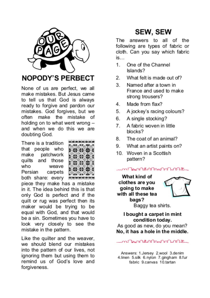

None of us are perfect, we all make mistakes. But Jesus came to tell us that God is always ready to forgive and pardon our mistakes. God forgives, but we often make the mistake of holding on to what went wrong and when we do this we are doubting God.

There is a tradition that people who patchwork make quilts and those who weave Persian carpets both share: every



piece they make has a mistake in it. The idea behind this is that only God is perfect and if the quilt or rug was perfect then its maker would be trying to be equal with God, and that would be a sin. Sometimes you have to look very closely to see the mistake in the pattern.

Like the quilter and the weaver, we should blend our mistakes into the pattern of our lives, not ignoring them but using them to remind us of God's love and forgiveness.

# **SEW, SEW**

The answers to all of the following are types of fabric or cloth. Can you say which fabric is

- One of the Channel 1. Islands?
- $\overline{2}$ What felt is made out of?
- 3 Named after a town in France and used to make strong trousers?
- $4<sup>1</sup>$ Made from flax?
- 5. A jockey's racing colours?
- 6. A single stocking?
- $7<sup>1</sup>$ A fabric woven in little blocks?
- 8. The coat of an animal?
- 9. What an artist paints on?
- 10. Woven in a Scottish pattern?
- n Den All Mas Man MA

What kind of clothes are you going to make with all these tea bags? Baggy tea shirts.



I bought a carpet in mint condition today.

As good as new, do you mean? No, it has a hole in the middle.

n **โคมาใช้มาใหล่มาในในให้** 

Answers: 1.Jersey 2.wool 3.denim 4.linen 5.silk 6.nylon 7.gingham 8.fur fabric 9.canvas 10.tartan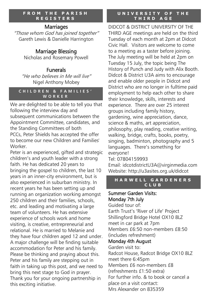#### **F R O M T H E P A R I S H R E G I S T E R S**

# **Marriages**

"Those whom God has joined together" Gareth Lewis & Danielle Harrington

# Marriage Blessing

Nicholas and Rosemary Powell

# Funerals

"He who believes in Me will live" Nigel Anthony Mobey

#### **C H I L D R E N & F A M I L I E S ' W O R K E R**

We are delighted to be able to tell you that following the interview day and subsequent communications between the Appointment Committee, candidates, and the Standing Committees of both PCCs, Peter Shields has accepted the offer to become our new Children and Families' Worker.

Peter is an experienced, gifted and strategic children's and youth leader with a strong faith. He has dedicated 20 years to bringing the gospel to children, the last 10 years in an inner-city environment, but is also experienced in suburban ministry. In recent years he has been setting up and running an organization working amongst 250 children and their families, schools, etc. and leading and motivating a large team of volunteers. He has extensive experience of schools work and home visiting, is creative, entrepreneurial and relational. He is married to Melanie and they have four children aged 12 and under. A major challenge will be finding suitable accommodation for Peter and his family. Please be thinking and praying about this. Peter and his family are stepping out in faith in taking up this post, and we need to bring this next stage to God in prayer. Thank you for your ongoing partnership in this exciting initiative.

#### **U N I V E R S I T Y O F T H E T H I R D A G E**

DIDCOT & DISTRICT UNIVERSITY OF THE THIRD AGE meetings are held on the third Tuesday of each month at 2pm at Didcot Civic Hall. Visitors are welcome to come to a meeting as a taster before joining. The July meeting will be held at 2pm on Tuesday 15 July, the topic being The History of Punch and Judy with Alix Booth. Didcot & District U3A aims to encourage and enable older people in Didcot and District who are no longer in fulltime paid employment to help each other to share their knowledge, skills, interests and experience. There are over 25 interest groups including family history, gardening, wine appreciation, dance, science & maths, art appreciation, philosophy, play reading, creative writing, walking, bridge, crafts, books, poetry, singing, badminton, photography and 5 languages. There's something for everyone! Tel: 07804159993

Email: idcotdistrictU3A@virginmedia.com Website: http://u3asites.org.uk/didcot

#### **H A R W E L L G A R D E N E R S C L U B**

#### Summer Garden Visits: Monday 7th July

Guided tour of: Earth Trust's 'River of Life' Project Shillingford Bridge Hotel OX10 8LZ meet in car park at 7pm Members £6:50 non-members £8:50 (includes refreshment) Monday 4th August Garden visit to: Radcot House, Radcot Bridge OX10 8LZ meet there 6:45pm Members £6 non-members £8 (refreshments £1:50 extra) For further info. & to book or cancel a place on a visit contact: Mrs Alexander on 835359